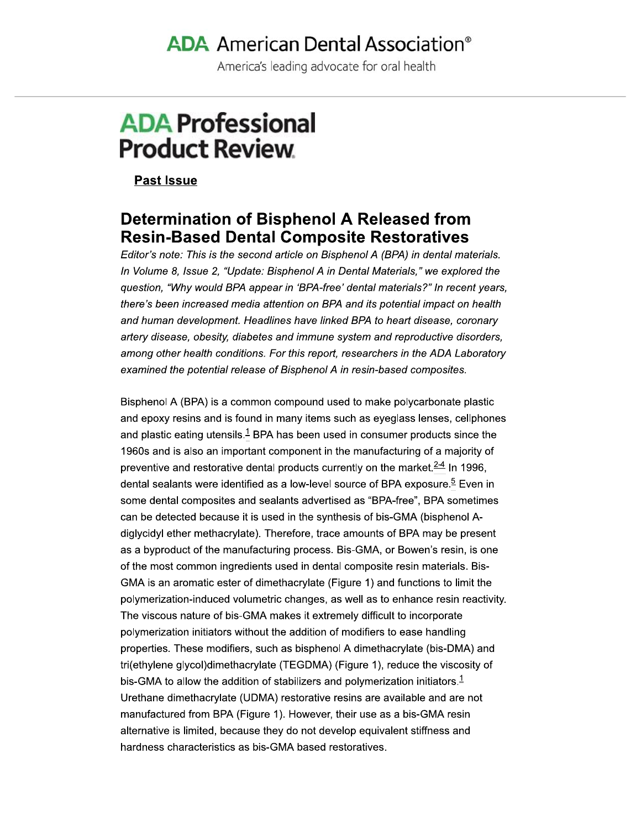# **ADA** American Dental Association<sup>®</sup>

America's leading advocate for oral health

# **ADA Professional Product Review**

**Past Issue** 

# **Determination of Bisphenol A Released from Resin-Based Dental Composite Restoratives**

Editor's note: This is the second article on Bisphenol A (BPA) in dental materials. In Volume 8, Issue 2, "Update: Bisphenol A in Dental Materials," we explored the question, "Why would BPA appear in 'BPA-free' dental materials?" In recent years, there's been increased media attention on BPA and its potential impact on health and human development. Headlines have linked BPA to heart disease, coronary artery disease, obesity, diabetes and immune system and reproductive disorders, among other health conditions. For this report, researchers in the ADA Laboratory examined the potential release of Bisphenol A in resin-based composites.

Bisphenol A (BPA) is a common compound used to make polycarbonate plastic and epoxy resins and is found in many items such as eyeglass lenses, cellphones and plastic eating utensils.<sup>1</sup> BPA has been used in consumer products since the 1960s and is also an important component in the manufacturing of a majority of preventive and restorative dental products currently on the market.<sup>2-4</sup> In 1996. dental sealants were identified as a low-level source of BPA exposure.<sup>5</sup> Even in some dental composites and sealants advertised as "BPA-free", BPA sometimes can be detected because it is used in the synthesis of bis-GMA (bisphenol Adiglycidyl ether methacrylate). Therefore, trace amounts of BPA may be present as a byproduct of the manufacturing process. Bis-GMA, or Bowen's resin, is one of the most common ingredients used in dental composite resin materials. Bis-GMA is an aromatic ester of dimethacrylate (Figure 1) and functions to limit the polymerization-induced volumetric changes, as well as to enhance resin reactivity. The viscous nature of bis-GMA makes it extremely difficult to incorporate polymerization initiators without the addition of modifiers to ease handling properties. These modifiers, such as bisphenol A dimethacrylate (bis-DMA) and tri(ethylene glycol)dimethacrylate (TEGDMA) (Figure 1), reduce the viscosity of bis-GMA to allow the addition of stabilizers and polymerization initiators.<sup>1</sup> Urethane dimethacrylate (UDMA) restorative resins are available and are not manufactured from BPA (Figure 1). However, their use as a bis-GMA resin alternative is limited, because they do not develop equivalent stiffness and hardness characteristics as bis-GMA based restoratives.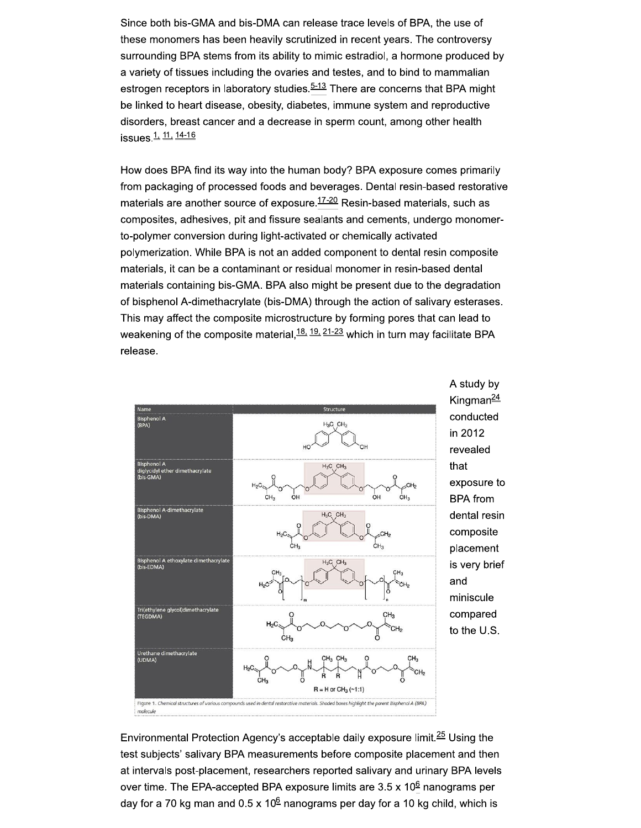Since both bis-GMA and bis-DMA can release trace levels of BPA, the use of these monomers has been heavily scrutinized in recent years. The controversy surrounding BPA stems from its ability to mimic estradiol, a hormone produced by a variety of tissues including the ovaries and testes, and to bind to mammalian estrogen receptors in laboratory studies.<sup>5-13</sup> There are concerns that BPA might be linked to heart disease, obesity, diabetes, immune system and reproductive disorders, breast cancer and a decrease in sperm count, among other health issues.<sup>1, 11, 14-16</sup>

How does BPA find its way into the human body? BPA exposure comes primarily from packaging of processed foods and beverages. Dental resin-based restorative materials are another source of exposure.<sup>17-20</sup> Resin-based materials, such as composites, adhesives, pit and fissure sealants and cements, undergo monomerto-polymer conversion during light-activated or chemically activated polymerization. While BPA is not an added component to dental resin composite materials, it can be a contaminant or residual monomer in resin-based dental materials containing bis-GMA. BPA also might be present due to the degradation of bisphenol A-dimethacrylate (bis-DMA) through the action of salivary esterases. This may affect the composite microstructure by forming pores that can lead to weakening of the composite material,  $18, 19, 21-23$  which in turn may facilitate BPA release.



A study by Kingman<sup>24</sup> conducted in 2012 revealed that exposure to **BPA** from dental resin composite placement is very brief and miniscule compared to the U.S.

Environmental Protection Agency's acceptable daily exposure limit.<sup>25</sup> Using the test subjects' salivary BPA measurements before composite placement and then at intervals post-placement, researchers reported salivary and urinary BPA levels over time. The EPA-accepted BPA exposure limits are  $3.5 \times 10^6$  nanograms per day for a 70 kg man and  $0.5 \times 10^6$  nanograms per day for a 10 kg child, which is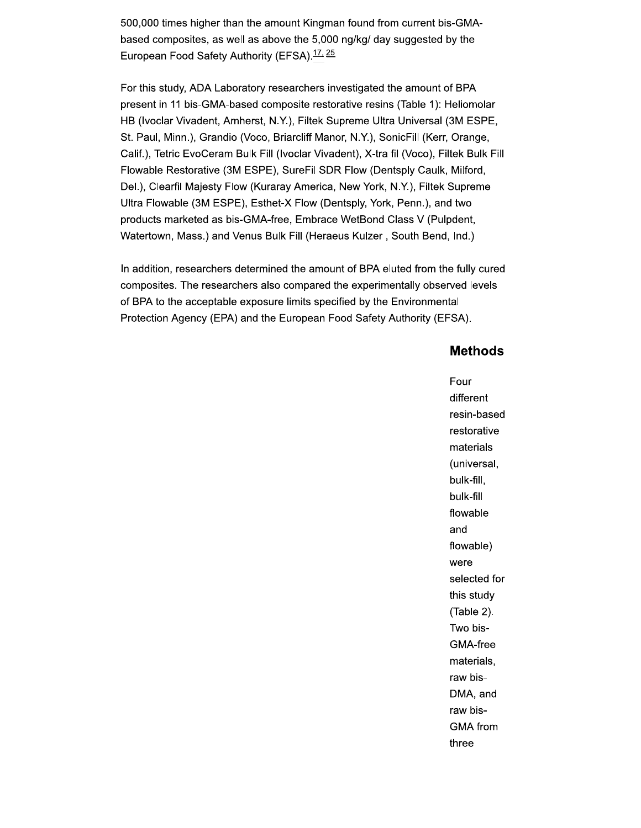500,000 times higher than the amount Kingman found from current bis-GMAbased composites, as well as above the 5,000 ng/kg/ day suggested by the European Food Safety Authority (EFSA).<sup>17, 25</sup>

For this study, ADA Laboratory researchers investigated the amount of BPA present in 11 bis-GMA-based composite restorative resins (Table 1): Heliomolar HB (Ivoclar Vivadent, Amherst, N.Y.), Filtek Supreme Ultra Universal (3M ESPE, St. Paul, Minn.), Grandio (Voco, Briarcliff Manor, N.Y.), SonicFill (Kerr, Orange, Calif.), Tetric EvoCeram Bulk Fill (Ivoclar Vivadent), X-tra fil (Voco), Filtek Bulk Fill Flowable Restorative (3M ESPE), SureFil SDR Flow (Dentsply Caulk, Milford, Del.), Clearfil Majesty Flow (Kuraray America, New York, N.Y.), Filtek Supreme Ultra Flowable (3M ESPE), Esthet-X Flow (Dentsply, York, Penn.), and two products marketed as bis-GMA-free, Embrace WetBond Class V (Pulpdent, Watertown, Mass.) and Venus Bulk Fill (Heraeus Kulzer, South Bend, Ind.)

In addition, researchers determined the amount of BPA eluted from the fully cured composites. The researchers also compared the experimentally observed levels of BPA to the acceptable exposure limits specified by the Environmental Protection Agency (EPA) and the European Food Safety Authority (EFSA).

#### **Methods**

Four different resin-based restorative materials (universal, bulk-fill, bulk-fill flowable and flowable) were selected for this study (Table 2). Two bis-GMA-free materials, raw bis-DMA, and raw bis-**GMA** from three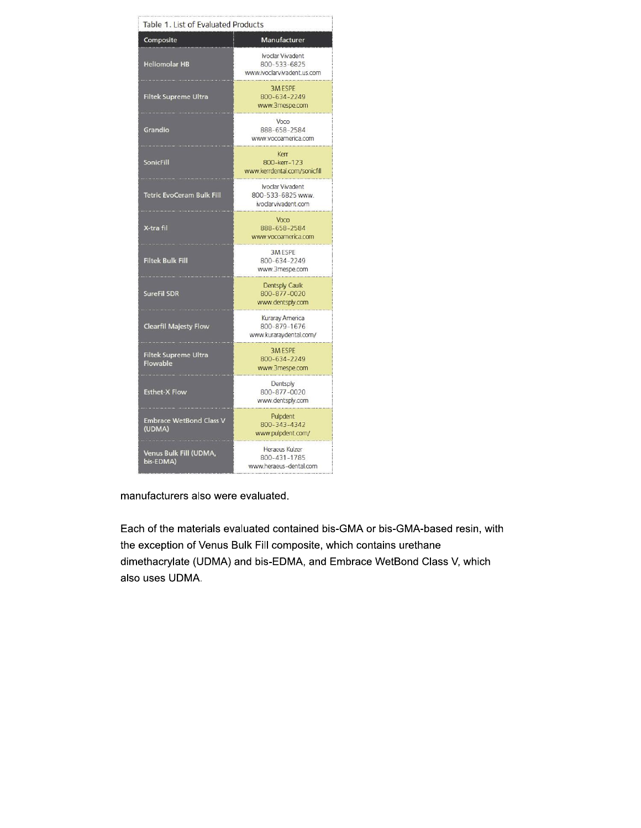| Table 1. List of Evaluated Products      |                                                                            |  |
|------------------------------------------|----------------------------------------------------------------------------|--|
| Composite                                | Manufacturer                                                               |  |
| <b>Heliomolar HB</b>                     | Ivoclar Vivadent<br>800-533-6825<br>www.ivoclarvivadent.us.com             |  |
| <b>Filtek Supreme Ultra</b>              | <b>3M ESPE</b><br>800-634-2249<br>www.3mespe.com                           |  |
| Grandio                                  | Voco<br>888-658-2584<br>www.vocoarnerica.com                               |  |
| <b>SonicFill</b>                         | Kerr<br>800-kerr-123<br>www.kerrdental.com/sonicfill                       |  |
| <b>Tetric EvoCeram Bulk Fill</b>         | Ivoclar Vivadent<br>800-533-6825 www.<br>ivoclarvivadent.com               |  |
| X-tra fil                                | Voco<br>888-658-2584<br>www.vocoamerica.com<br>.                           |  |
| <b>Filtek Bulk Fill</b>                  | <b>3MESPE</b><br>800-634-2249<br>www.3mespe.com                            |  |
| <b>SureFil SDR</b>                       | Dentsply Caulk<br>800-877-0020<br>www.dentsply.com<br>and a company of the |  |
| <b>Clearfil Majesty Flow</b>             | Kuraray America<br>800-879-1676<br>www.kuraraydental.com/                  |  |
| Filtek Supreme Ultra<br>Flowable         | <b>3MESPE</b><br>800-634-2249<br>www.3mespe.com                            |  |
| <b>Esthet-X Flow</b>                     | Dentsply<br>800-877-0020<br>www.dentsply.com                               |  |
| <b>Embrace WetBond Class V</b><br>(UDMA) | Pulpdent<br>800-343-4342<br>www.pulpdent.com/                              |  |
| Venus Bulk Fill (UDMA,<br>bis-EDMA)      | Heraeus Kulzer<br>800-431-1785<br>www.heraeus-dental.com                   |  |

manufacturers also were evaluated.

Each of the materials evaluated contained bis-GMA or bis-GMA-based resin, with the exception of Venus Bulk Fill composite, which contains urethane dimethacrylate (UDMA) and bis-EDMA, and Embrace WetBond Class V, which also uses UDMA.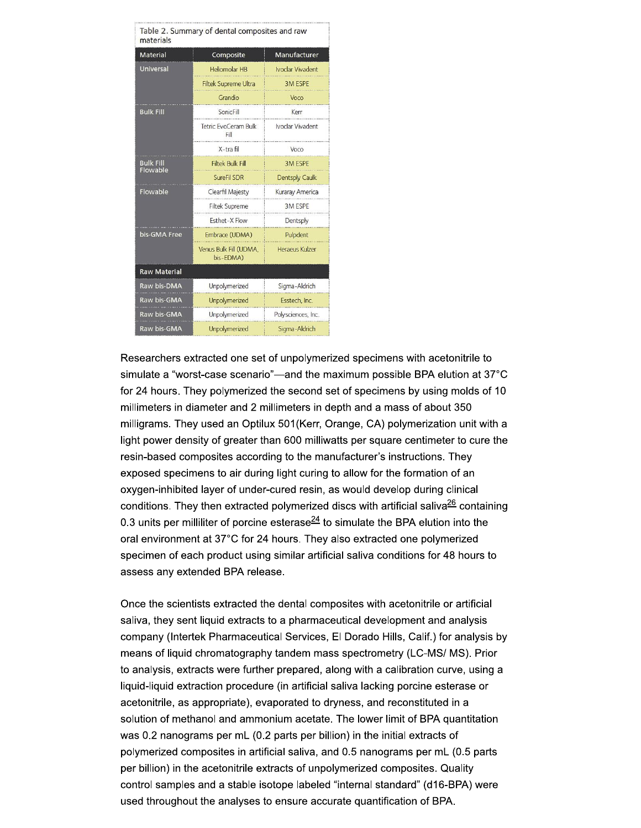| Table 2. Summary of dental composites and raw<br>materials |                                     |                         |  |
|------------------------------------------------------------|-------------------------------------|-------------------------|--|
| <b>Material</b>                                            | Composite                           | Manufacturer            |  |
| <b>Universal</b>                                           | <b>Heliomolar HB</b>                | <b>Ivoclar Vivadent</b> |  |
|                                                            | <b>Filtek Supreme Ultra</b>         | <b>3M ESPE</b>          |  |
|                                                            | Grandio                             | Voco                    |  |
| <b>Bulk Fill</b>                                           | SonicFill                           | Kerr                    |  |
|                                                            | Tetric EvoCeram Bulk<br>Fill        | Ivoclar Vivadent        |  |
|                                                            | X-tra fil                           | Voco                    |  |
| <b>Bulk Fill</b><br>Flowable                               | <b>Filtek Bulk Fill</b>             | <b>3M ESPE</b>          |  |
|                                                            | SureFil SDR                         | <b>Dentsply Caulk</b>   |  |
| Flowable                                                   | Clearfil Majesty                    | Kuraray America         |  |
|                                                            | <b>Filtek Supreme</b>               | 3M ESPE                 |  |
|                                                            | Esthet-X Flow                       | Dentsply                |  |
| bis-GMA Free                                               | Embrace (UDMA)                      | Pulpdent                |  |
|                                                            | Venus Bulk Fill (UDMA.<br>bis-EDMA) | Heraeus Kulzer          |  |
| <b>Raw Material</b>                                        |                                     |                         |  |
| Raw bis-DMA                                                | Unpolymerized                       | Sigma-Aldrich           |  |
| Raw bis-GMA                                                | Unpolymerized                       | Esstech, Inc.           |  |
| Raw bis-GMA                                                | Unpolymerized                       | Polysciences, Inc.      |  |
| Raw bis-GMA                                                | Unpolymerized                       | Sigma-Aldrich           |  |

Researchers extracted one set of unpolymerized specimens with acetonitrile to simulate a "worst-case scenario"-and the maximum possible BPA elution at 37°C for 24 hours. They polymerized the second set of specimens by using molds of 10 millimeters in diameter and 2 millimeters in depth and a mass of about 350 milligrams. They used an Optilux 501(Kerr, Orange, CA) polymerization unit with a light power density of greater than 600 milliwatts per square centimeter to cure the resin-based composites according to the manufacturer's instructions. They exposed specimens to air during light curing to allow for the formation of an oxygen-inhibited layer of under-cured resin, as would develop during clinical conditions. They then extracted polymerized discs with artificial saliva<sup>26</sup> containing 0.3 units per milliliter of porcine esterase $\frac{24}{1}$  to simulate the BPA elution into the oral environment at 37°C for 24 hours. They also extracted one polymerized specimen of each product using similar artificial saliva conditions for 48 hours to assess any extended BPA release.

Once the scientists extracted the dental composites with acetonitrile or artificial saliva, they sent liquid extracts to a pharmaceutical development and analysis company (Intertek Pharmaceutical Services, El Dorado Hills, Calif.) for analysis by means of liquid chromatography tandem mass spectrometry (LC-MS/MS). Prior to analysis, extracts were further prepared, along with a calibration curve, using a liquid-liquid extraction procedure (in artificial saliva lacking porcine esterase or acetonitrile, as appropriate), evaporated to dryness, and reconstituted in a solution of methanol and ammonium acetate. The lower limit of BPA quantitation was 0.2 nanograms per mL (0.2 parts per billion) in the initial extracts of polymerized composites in artificial saliva, and 0.5 nanograms per mL (0.5 parts per billion) in the acetonitrile extracts of unpolymerized composites. Quality control samples and a stable isotope labeled "internal standard" (d16-BPA) were used throughout the analyses to ensure accurate quantification of BPA.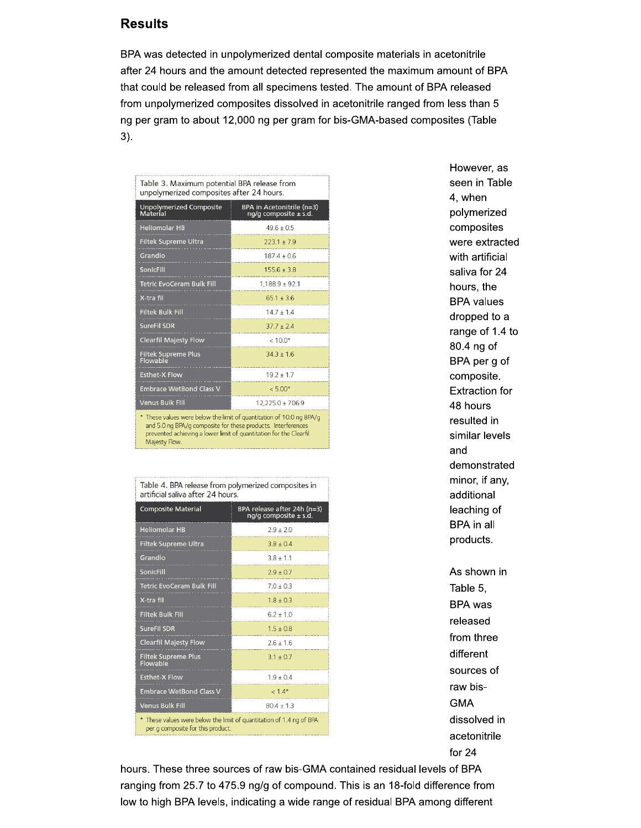#### **Results**

BPA was detected in unpolymerized dental composite materials in acetonitrile after 24 hours and the amount detected represented the maximum amount of BPA that could be released from all specimens tested. The amount of BPA released from unpolymerized composites dissolved in acetonitrile ranged from less than 5 ng per gram to about 12,000 ng per gram for bis-GMA-based composites (Table  $3).$ 

| Table 3. Maximum potential BPA release from<br>unpolymerized composites after 24 hours. |                                                        |  |
|-----------------------------------------------------------------------------------------|--------------------------------------------------------|--|
| <b>Unpolymerized Composite</b><br>Material                                              | BPA in Acetonitrile (n=3)<br>ng/g composite $\pm$ s.d. |  |
| <b>Heliomolar HB</b>                                                                    | $496 + 05$                                             |  |
| <b>Filtek Supreme Ultra</b>                                                             | $7731 + 79$                                            |  |
| Grandio                                                                                 | $1874 + 06$                                            |  |
| SonicFill                                                                               | $155.6 \pm 3.8$                                        |  |
| <b>Tetric EvoCeram Bulk Fill</b>                                                        | $1,188.9 \pm 92.1$                                     |  |
| X-tra fil                                                                               | $65.1 + 36$                                            |  |
| <b>Filtek Bulk Fill</b>                                                                 | $147 + 14$                                             |  |
| <b>SureFil SDR</b>                                                                      | $377 + 24$                                             |  |
| <b>Clearfil Majesty Flow</b>                                                            | $< 10.0*$                                              |  |
| <b>Filtek Supreme Plus</b><br>Flowable                                                  | $343 + 16$                                             |  |
| <b>Esthet-X Flow</b>                                                                    | $19.2 + 1.7$                                           |  |
| <b>Embrace WetBond Class V</b>                                                          | $< 5.00*$                                              |  |
| <b>Venus Bulk Fill</b>                                                                  | $12,225.0 \pm 706.9$                                   |  |
| $\star$ There is the presented below the limit of constitution of 100 == DDM (=         |                                                        |  |

re below the limit of quantitation of and 5.0 ng BPA/g composite for these products. Interferences prevented achieving a lower limit of quantitation for the Clearfil Majesty Flow

| al Lilicial Saliva al tel 24 Tiours.                                                                      |                                                          |  |
|-----------------------------------------------------------------------------------------------------------|----------------------------------------------------------|--|
| <b>Composite Material</b>                                                                                 | BPA release after 24h (n=3)<br>ng/g composite $\pm$ s.d. |  |
| <b>Heliomolar HB</b>                                                                                      | $79 + 20$                                                |  |
| Filtek Supreme Ultra                                                                                      | $3.8 \pm 0.4$                                            |  |
| Grandio                                                                                                   | $3.8 \pm 1.1$                                            |  |
| <b>SonicFill</b>                                                                                          | $2.9 \pm 0.7$                                            |  |
| <b>Tetric EvoCeram Bulk Fill</b>                                                                          | $70 + 03$                                                |  |
| X-tra fil                                                                                                 | $1.8 + 0.3$                                              |  |
| <b>Filtek Bulk Fill</b>                                                                                   | $6.2 \pm 1.0$                                            |  |
| <b>SureFil SDR</b>                                                                                        | $15 + 08$                                                |  |
| <b>Clearfil Majesty Flow</b>                                                                              | $2.6 + 1.6$                                              |  |
| <b>Filtek Supreme Plus</b><br>Flowable                                                                    | $3.1 + 0.7$                                              |  |
| <b>Esthet-X Flow</b>                                                                                      | $1.9 + 0.4$                                              |  |
| <b>Embrace WetBond Class V</b>                                                                            | $<1.4*$                                                  |  |
| <b>Venus Bulk Fill</b>                                                                                    | $804 + 13$                                               |  |
| * These values were below the limit of quantitation of 1.4 ng of BPA<br>per g composite for this product. |                                                          |  |

Table 4. BPA release from polymerized composites in  $\frac{1}{2}$ 

However, as seen in Table 4, when polymerized composites were extracted with artificial saliva for 24 hours, the **BPA** values dropped to a range of 1.4 to 80.4 ng of BPA per g of composite. **Extraction for** 48 hours resulted in similar levels and demonstrated minor, if any, additional leaching of BPA in all products. As shown in Table 5. **BPA** was released from three different

sources of raw bis-**GMA** 

dissolved in acetonitrile for  $24$ 

hours. These three sources of raw bis-GMA contained residual levels of BPA ranging from 25.7 to 475.9 ng/g of compound. This is an 18-fold difference from low to high BPA levels, indicating a wide range of residual BPA among different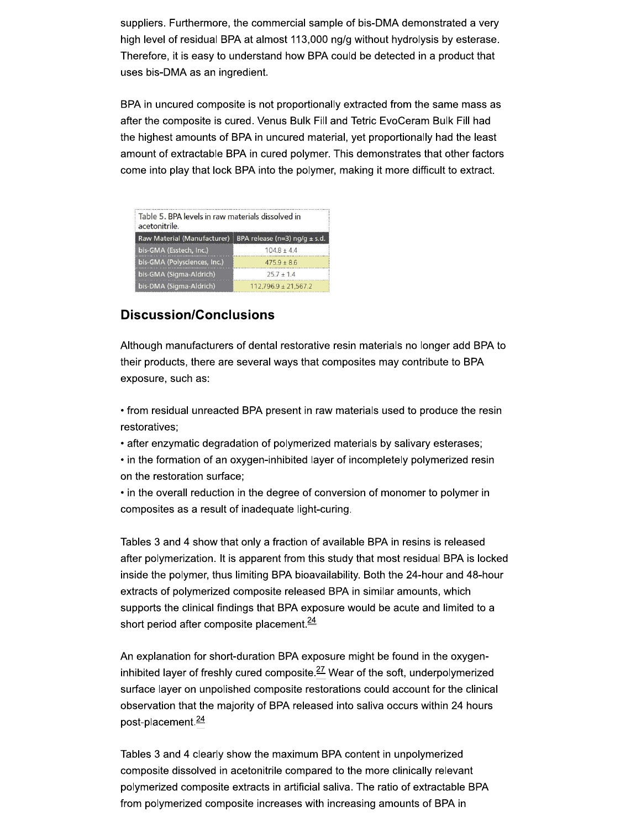suppliers. Furthermore, the commercial sample of bis-DMA demonstrated a very high level of residual BPA at almost 113,000 ng/g without hydrolysis by esterase. Therefore, it is easy to understand how BPA could be detected in a product that uses bis-DMA as an ingredient.

BPA in uncured composite is not proportionally extracted from the same mass as after the composite is cured. Venus Bulk Fill and Tetric EvoCeram Bulk Fill had the highest amounts of BPA in uncured material, yet proportionally had the least amount of extractable BPA in cured polymer. This demonstrates that other factors come into play that lock BPA into the polymer, making it more difficult to extract.

| Table 5. BPA levels in raw materials dissolved in<br>acetonitrile.     |                          |
|------------------------------------------------------------------------|--------------------------|
| Raw Material (Manufacturer)<br>BPA release (n=3) $\frac{ng}{g}$ ± s.d. |                          |
| bis-GMA (Esstech, Inc.)                                                | $1048 + 44$              |
| bis-GMA (Polysciences, Inc.)                                           | $4759 + 86$              |
| bis-GMA (Sigma-Aldrich)                                                | $757 + 14$               |
| bis-DMA (Sigma-Aldrich)                                                | $112.796.9 \pm 21.567.2$ |

## **Discussion/Conclusions**

Although manufacturers of dental restorative resin materials no longer add BPA to their products, there are several ways that composites may contribute to BPA exposure, such as:

- from residual unreacted BPA present in raw materials used to produce the resin restoratives;
- after enzymatic degradation of polymerized materials by salivary esterases;
- . in the formation of an oxygen-inhibited layer of incompletely polymerized resin on the restoration surface;
- in the overall reduction in the degree of conversion of monomer to polymer in composites as a result of inadequate light-curing.

Tables 3 and 4 show that only a fraction of available BPA in resins is released after polymerization. It is apparent from this study that most residual BPA is locked inside the polymer, thus limiting BPA bioavailability. Both the 24-hour and 48-hour extracts of polymerized composite released BPA in similar amounts, which supports the clinical findings that BPA exposure would be acute and limited to a short period after composite placement. $\frac{24}{3}$ 

An explanation for short-duration BPA exposure might be found in the oxygeninhibited layer of freshly cured composite.<sup>27</sup> Wear of the soft, underpolymerized surface layer on unpolished composite restorations could account for the clinical observation that the majority of BPA released into saliva occurs within 24 hours post-placement.<sup>24</sup>

Tables 3 and 4 clearly show the maximum BPA content in unpolymerized composite dissolved in acetonitrile compared to the more clinically relevant polymerized composite extracts in artificial saliva. The ratio of extractable BPA from polymerized composite increases with increasing amounts of BPA in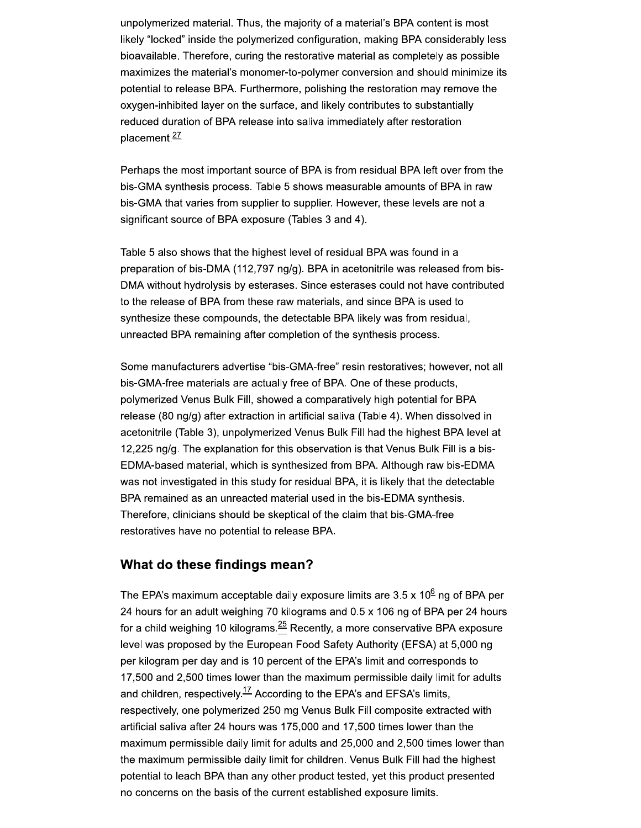unpolymerized material. Thus, the majority of a material's BPA content is most likely "locked" inside the polymerized configuration, making BPA considerably less bioavailable. Therefore, curing the restorative material as completely as possible maximizes the material's monomer-to-polymer conversion and should minimize its potential to release BPA. Furthermore, polishing the restoration may remove the oxygen-inhibited layer on the surface, and likely contributes to substantially reduced duration of BPA release into saliva immediately after restoration placement.<sup>27</sup>

Perhaps the most important source of BPA is from residual BPA left over from the bis-GMA synthesis process. Table 5 shows measurable amounts of BPA in raw bis-GMA that varies from supplier to supplier. However, these levels are not a significant source of BPA exposure (Tables 3 and 4).

Table 5 also shows that the highest level of residual BPA was found in a preparation of bis-DMA (112,797 ng/g). BPA in acetonitrile was released from bis-DMA without hydrolysis by esterases. Since esterases could not have contributed to the release of BPA from these raw materials, and since BPA is used to synthesize these compounds, the detectable BPA likely was from residual, unreacted BPA remaining after completion of the synthesis process.

Some manufacturers advertise "bis-GMA-free" resin restoratives; however, not all bis-GMA-free materials are actually free of BPA. One of these products, polymerized Venus Bulk Fill, showed a comparatively high potential for BPA release (80 ng/g) after extraction in artificial saliva (Table 4). When dissolved in acetonitrile (Table 3), unpolymerized Venus Bulk Fill had the highest BPA level at 12,225 ng/g. The explanation for this observation is that Venus Bulk Fill is a bis-EDMA-based material, which is synthesized from BPA. Although raw bis-EDMA was not investigated in this study for residual BPA, it is likely that the detectable BPA remained as an unreacted material used in the bis-EDMA synthesis. Therefore, clinicians should be skeptical of the claim that bis-GMA-free restoratives have no potential to release BPA.

#### What do these findings mean?

The EPA's maximum acceptable daily exposure limits are  $3.5 \times 10^6$  ng of BPA per 24 hours for an adult weighing 70 kilograms and 0.5 x 106 ng of BPA per 24 hours for a child weighing 10 kilograms. $\frac{25}{2}$  Recently, a more conservative BPA exposure level was proposed by the European Food Safety Authority (EFSA) at 5,000 ng per kilogram per day and is 10 percent of the EPA's limit and corresponds to 17,500 and 2,500 times lower than the maximum permissible daily limit for adults and children, respectively.<sup>17</sup> According to the EPA's and EFSA's limits, respectively, one polymerized 250 mg Venus Bulk Fill composite extracted with artificial saliva after 24 hours was 175,000 and 17,500 times lower than the maximum permissible daily limit for adults and 25,000 and 2,500 times lower than the maximum permissible daily limit for children. Venus Bulk Fill had the highest potential to leach BPA than any other product tested, yet this product presented no concerns on the basis of the current established exposure limits.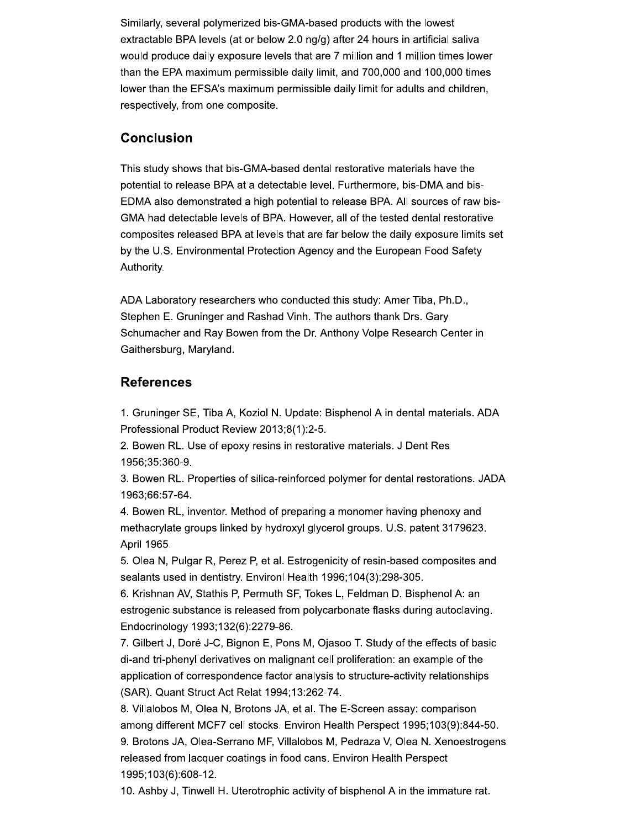Similarly, several polymerized bis-GMA-based products with the lowest extractable BPA levels (at or below 2.0 ng/g) after 24 hours in artificial saliva would produce daily exposure levels that are 7 million and 1 million times lower than the EPA maximum permissible daily limit, and 700,000 and 100,000 times lower than the EFSA's maximum permissible daily limit for adults and children, respectively, from one composite.

### **Conclusion**

This study shows that bis-GMA-based dental restorative materials have the potential to release BPA at a detectable level. Furthermore, bis-DMA and bis-EDMA also demonstrated a high potential to release BPA. All sources of raw bis-GMA had detectable levels of BPA. However, all of the tested dental restorative composites released BPA at levels that are far below the daily exposure limits set by the U.S. Environmental Protection Agency and the European Food Safety Authority.

ADA Laboratory researchers who conducted this study: Amer Tiba, Ph.D., Stephen E. Gruninger and Rashad Vinh. The authors thank Drs. Gary Schumacher and Ray Bowen from the Dr. Anthony Volpe Research Center in Gaithersburg, Maryland.

#### **References**

1. Gruninger SE, Tiba A, Koziol N. Update: Bisphenol A in dental materials. ADA Professional Product Review 2013;8(1):2-5.

2. Bowen RL. Use of epoxy resins in restorative materials. J Dent Res 1956:35:360-9.

3. Bowen RL. Properties of silica-reinforced polymer for dental restorations. JADA 1963;66:57-64.

4. Bowen RL, inventor. Method of preparing a monomer having phenoxy and methacrylate groups linked by hydroxyl glycerol groups. U.S. patent 3179623. April 1965.

5. Olea N, Pulgar R, Perez P, et al. Estrogenicity of resin-based composites and sealants used in dentistry. Environl Health 1996;104(3):298-305.

6. Krishnan AV, Stathis P, Permuth SF, Tokes L, Feldman D. Bisphenol A: an estrogenic substance is released from polycarbonate flasks during autoclaving. Endocrinology 1993;132(6):2279-86.

7. Gilbert J, Doré J-C, Bignon E, Pons M, Ojasoo T. Study of the effects of basic di-and tri-phenyl derivatives on malignant cell proliferation: an example of the application of correspondence factor analysis to structure-activity relationships (SAR). Quant Struct Act Relat 1994;13:262-74.

8. Villalobos M, Olea N, Brotons JA, et al. The E-Screen assay: comparison among different MCF7 cell stocks. Environ Health Perspect 1995;103(9):844-50. 9. Brotons JA, Olea-Serrano MF, Villalobos M, Pedraza V, Olea N. Xenoestrogens released from lacquer coatings in food cans. Environ Health Perspect 1995;103(6):608-12.

10. Ashby J, Tinwell H. Uterotrophic activity of bisphenol A in the immature rat.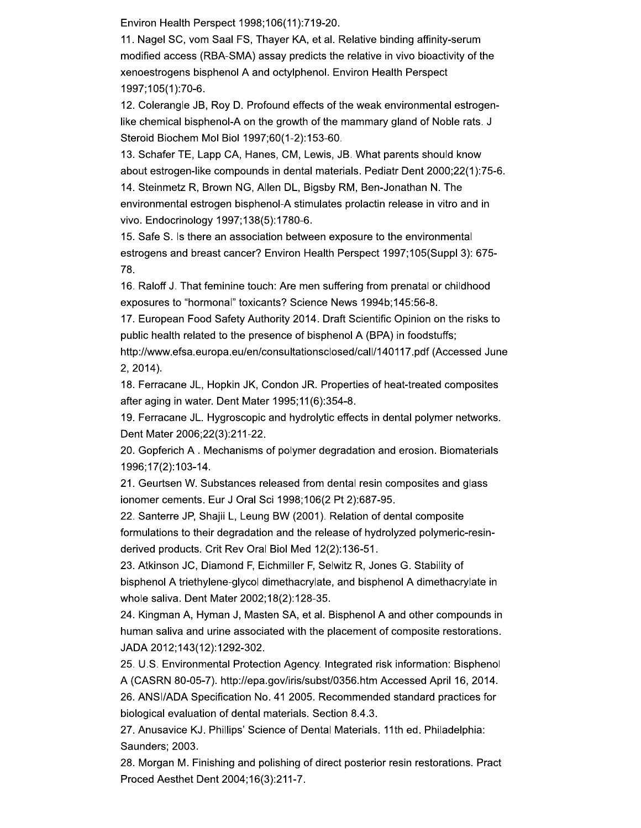Environ Health Perspect 1998;106(11):719-20.

11. Nagel SC, vom Saal FS, Thayer KA, et al. Relative binding affinity-serum modified access (RBA-SMA) assay predicts the relative in vivo bioactivity of the xenoestrogens bisphenol A and octylphenol. Environ Health Perspect 1997;105(1):70-6.

12. Colerangle JB, Roy D. Profound effects of the weak environmental estrogenlike chemical bisphenol-A on the growth of the mammary gland of Noble rats. J Steroid Biochem Mol Biol 1997;60(1-2):153-60.

13. Schafer TE, Lapp CA, Hanes, CM, Lewis, JB. What parents should know about estrogen-like compounds in dental materials. Pediatr Dent 2000;22(1):75-6. 14. Steinmetz R, Brown NG, Allen DL, Bigsby RM, Ben-Jonathan N. The environmental estrogen bisphenol-A stimulates prolactin release in vitro and in vivo. Endocrinology 1997;138(5):1780-6.

15. Safe S. Is there an association between exposure to the environmental estrogens and breast cancer? Environ Health Perspect 1997;105(Suppl 3): 675-78.

16. Raloff J. That feminine touch: Are men suffering from prenatal or childhood exposures to "hormonal" toxicants? Science News 1994b;145:56-8.

17. European Food Safety Authority 2014. Draft Scientific Opinion on the risks to public health related to the presence of bisphenol A (BPA) in foodstuffs;

http://www.efsa.europa.eu/en/consultationsclosed/call/140117.pdf (Accessed June 2, 2014).

18. Ferracane JL, Hopkin JK, Condon JR. Properties of heat-treated composites after aging in water. Dent Mater 1995;11(6):354-8.

19. Ferracane JL. Hygroscopic and hydrolytic effects in dental polymer networks. Dent Mater 2006;22(3):211-22.

20. Gopferich A. Mechanisms of polymer degradation and erosion. Biomaterials 1996;17(2):103-14.

21. Geurtsen W. Substances released from dental resin composites and glass ionomer cements. Eur J Oral Sci 1998;106(2 Pt 2):687-95.

22. Santerre JP, Shajii L, Leung BW (2001). Relation of dental composite formulations to their degradation and the release of hydrolyzed polymeric-resinderived products. Crit Rev Oral Biol Med 12(2):136-51.

23. Atkinson JC, Diamond F, Eichmiller F, Selwitz R, Jones G. Stability of bisphenol A triethylene-glycol dimethacrylate, and bisphenol A dimethacrylate in whole saliva. Dent Mater 2002;18(2):128-35.

24. Kingman A, Hyman J, Masten SA, et al. Bisphenol A and other compounds in human saliva and urine associated with the placement of composite restorations. JADA 2012;143(12):1292-302.

25. U.S. Environmental Protection Agency. Integrated risk information: Bisphenol A (CASRN 80-05-7). http://epa.gov/iris/subst/0356.htm Accessed April 16, 2014.

26. ANSI/ADA Specification No. 41 2005. Recommended standard practices for biological evaluation of dental materials. Section 8.4.3.

27. Anusavice KJ. Phillips' Science of Dental Materials. 11th ed. Philadelphia: Saunders; 2003.

28. Morgan M. Finishing and polishing of direct posterior resin restorations. Pract Proced Aesthet Dent 2004;16(3):211-7.